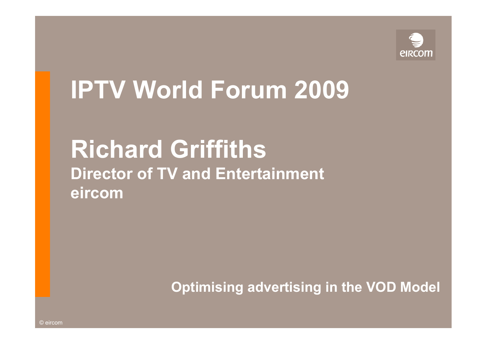

# **IPTV World Forum 2009**

## **Richard Griffiths Director of TV and Entertainment eircom**

**Optimising advertising in the VOD Model**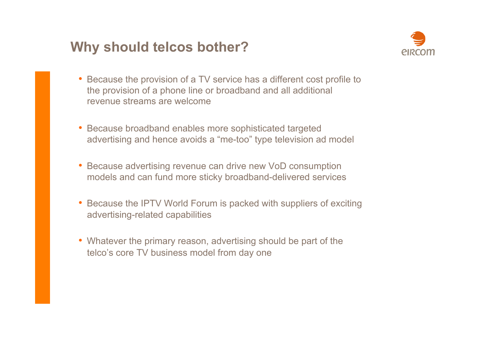#### **Why should telcos bother?**



- Because the provision of a TV service has a different cost profile to the provision of a phone line or broadband and all additional revenue streams are welcome
- Because broadband enables more sophisticated targeted advertising and hence avoids a "me-too" type television ad model
- Because advertising revenue can drive new VoD consumption models and can fund more sticky broadband-delivered services
- Because the IPTV World Forum is packed with suppliers of exciting advertising-related capabilities
- Whatever the primary reason, advertising should be part of the telco's core TV business model from day one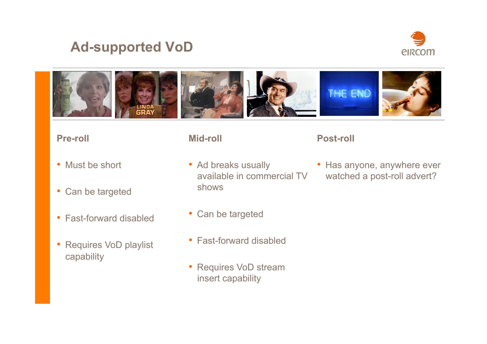#### **Ad-supported VoD**





#### **Pre-roll**

- Must be short
- Can be targeted
- Fast-forward disabled
- Requires VoD playlist capability
- **Mid-roll**
- Ad breaks usually available in commercial TV shows
- Can be targeted
- Fast-forward disabled
- Requires VoD stream insert capability

#### **Post-roll**

• Has anyone, anywhere ever watched a post-roll advert?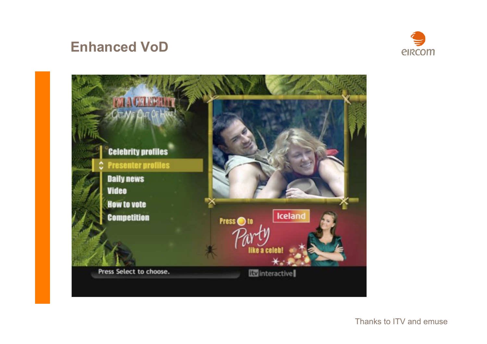#### **Enhanced VoD**





Thanks to ITV and emuse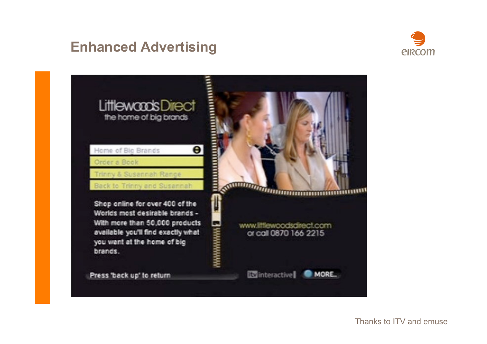#### **Enhanced Advertising**





Thanks to ITV and emuse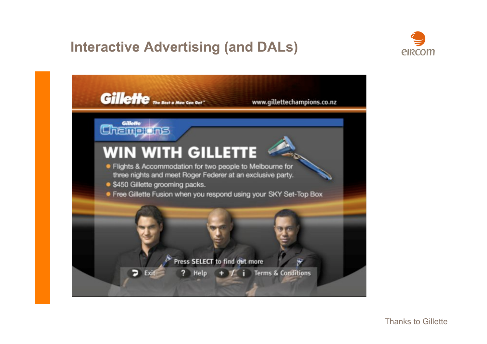### **Interactive Advertising (and DALs)**





Thanks to Gillette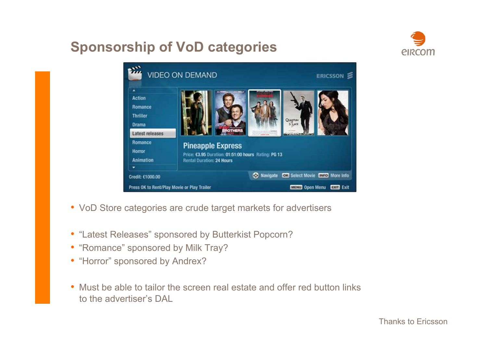### **Sponsorship of VoD categories**





- VoD Store categories are crude target markets for advertisers
- "Latest Releases" sponsored by Butterkist Popcorn?
- "Romance" sponsored by Milk Tray?
- "Horror" sponsored by Andrex?
- Must be able to tailor the screen real estate and offer red button links to the advertiser's DAL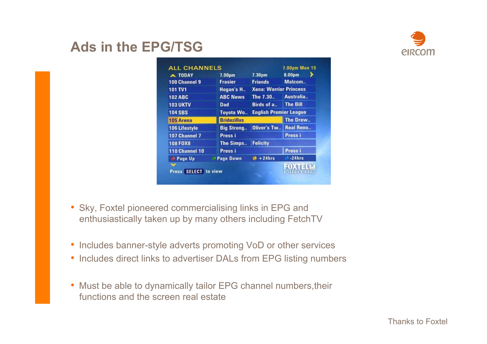# *<u>EIRCOM</u>*

#### **Ads in the EPG/TSG**

| A TODAY              | 7.00pm             | 7.30 <sub>pm</sub>            | 8.00pm           |
|----------------------|--------------------|-------------------------------|------------------|
| 100 Channel 9        | <b>Frasier</b>     | <b>Friends</b>                | Malcom           |
| 101 TV1              | Hogan's H          | <b>Xena: Warrior Princess</b> |                  |
| <b>102 ABC</b>       | <b>ABC News</b>    | The 7.30                      | Australia        |
| <b>103 UKTV</b>      | <b>Dad</b>         | Birds of a                    | <b>The Bill</b>  |
| <b>104 SBS</b>       | <b>Toyota Wo</b>   | <b>English Premier League</b> |                  |
| 105 Arena            | <b>Bridezillas</b> |                               | The Drew         |
| <b>106 Lifestyle</b> | <b>Big Strong</b>  | Oliver's Tw                   | <b>Real Reno</b> |
| 107 Channel 7        | Press i            |                               | Press i          |
| <b>108 FOX8</b>      | The Simps          | <b>Felicity</b>               |                  |
| 110 Channel 10       | Press i            |                               | Press i          |
| <sup>1</sup> Page Up | <b>Page Down</b>   | $+24hrs$                      | $-24hrs$         |
|                      |                    |                               |                  |

- Sky, Foxtel pioneered commercialising links in EPG and enthusiastically taken up by many others including FetchTV
- Includes banner-style adverts promoting VoD or other services
- Includes direct links to advertiser DALs from EPG listing numbers
- Must be able to dynamically tailor EPG channel numbers,their functions and the screen real estate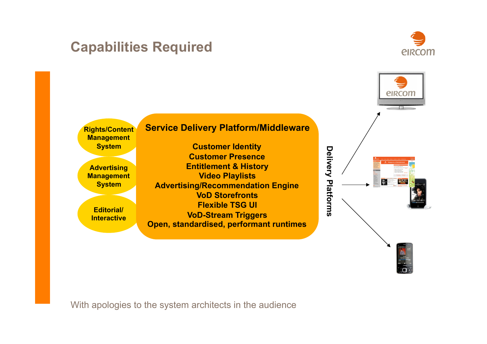#### **Capabilities Required**





With apologies to the system architects in the audience